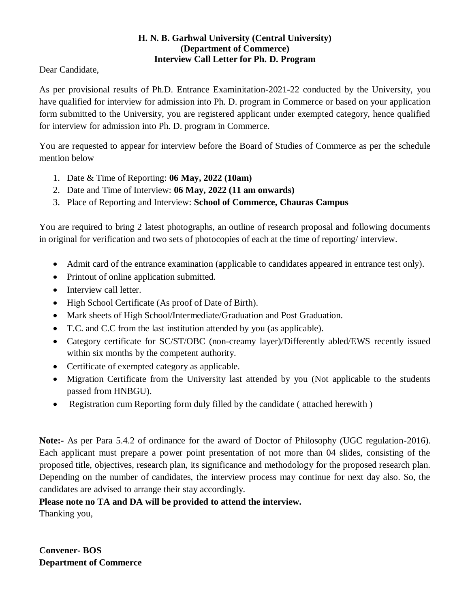## **H. N. B. Garhwal University (Central University) (Department of Commerce) Interview Call Letter for Ph. D. Program**

Dear Candidate,

As per provisional results of Ph.D. Entrance Examinitation-2021-22 conducted by the University, you have qualified for interview for admission into Ph. D. program in Commerce or based on your application form submitted to the University, you are registered applicant under exempted category, hence qualified for interview for admission into Ph. D. program in Commerce.

You are requested to appear for interview before the Board of Studies of Commerce as per the schedule mention below

- 1. Date & Time of Reporting: **06 May, 2022 (10am)**
- 2. Date and Time of Interview: **06 May, 2022 (11 am onwards)**
- 3. Place of Reporting and Interview: **School of Commerce, Chauras Campus**

You are required to bring 2 latest photographs, an outline of research proposal and following documents in original for verification and two sets of photocopies of each at the time of reporting/ interview.

- Admit card of the entrance examination (applicable to candidates appeared in entrance test only).
- Printout of online application submitted.
- Interview call letter.
- High School Certificate (As proof of Date of Birth).
- Mark sheets of High School/Intermediate/Graduation and Post Graduation.
- T.C. and C.C from the last institution attended by you (as applicable).
- Category certificate for SC/ST/OBC (non-creamy layer)/Differently abled/EWS recently issued within six months by the competent authority.
- Certificate of exempted category as applicable.
- Migration Certificate from the University last attended by you (Not applicable to the students passed from HNBGU).
- Registration cum Reporting form duly filled by the candidate (attached herewith)

**Note:-** As per Para 5.4.2 of ordinance for the award of Doctor of Philosophy (UGC regulation-2016). Each applicant must prepare a power point presentation of not more than 04 slides, consisting of the proposed title, objectives, research plan, its significance and methodology for the proposed research plan. Depending on the number of candidates, the interview process may continue for next day also. So, the candidates are advised to arrange their stay accordingly.

### **Please note no TA and DA will be provided to attend the interview.**

Thanking you,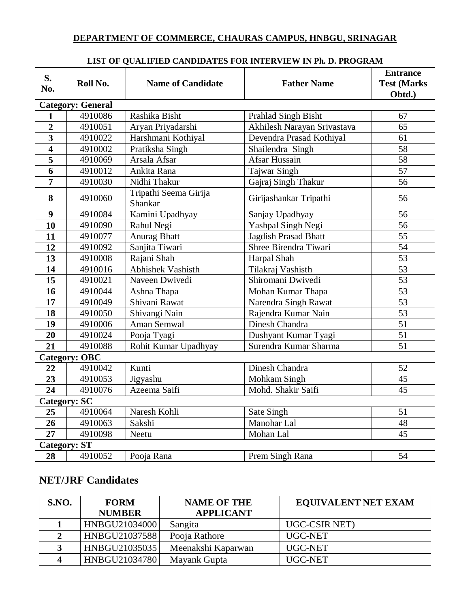# **DEPARTMENT OF COMMERCE, CHAURAS CAMPUS, HNBGU, SRINAGAR**

| S.<br>No.                | Roll No.            | <b>Name of Candidate</b>         | <b>Father Name</b>          | <b>Entrance</b><br><b>Test (Marks</b><br>Obtd.) |  |  |
|--------------------------|---------------------|----------------------------------|-----------------------------|-------------------------------------------------|--|--|
| <b>Category: General</b> |                     |                                  |                             |                                                 |  |  |
| $\mathbf{1}$             | 4910086             | Rashika Bisht                    | Prahlad Singh Bisht         | 67                                              |  |  |
| $\overline{2}$           | 4910051             | Aryan Priyadarshi                | Akhilesh Narayan Srivastava | $\overline{65}$                                 |  |  |
| $\overline{\mathbf{3}}$  | 4910022             | Harshmani Kothiyal               | Devendra Prasad Kothiyal    | 61                                              |  |  |
| $\overline{4}$           | 4910002             | Pratiksha Singh                  | Shailendra Singh            | $\overline{58}$                                 |  |  |
| $\overline{\mathbf{5}}$  | 4910069             | Arsala Afsar                     | <b>Afsar Hussain</b>        | $\overline{58}$                                 |  |  |
| $\overline{6}$           | 4910012             | Ankita Rana                      | <b>Tajwar Singh</b>         | $\overline{57}$                                 |  |  |
| $\overline{7}$           | 4910030             | Nidhi Thakur                     | Gajraj Singh Thakur         | $\overline{56}$                                 |  |  |
| 8                        | 4910060             | Tripathi Seema Girija<br>Shankar | Girijashankar Tripathi      | 56                                              |  |  |
| $\boldsymbol{9}$         | 4910084             | Kamini Upadhyay                  | Sanjay Upadhyay             | 56                                              |  |  |
| 10                       | 4910090             | Rahul Negi                       | Yashpal Singh Negi          | 56                                              |  |  |
| 11                       | 4910077             | <b>Anurag Bhatt</b>              | Jagdish Prasad Bhatt        | 55                                              |  |  |
| 12                       | 4910092             | Sanjita Tiwari                   | Shree Birendra Tiwari       | 54                                              |  |  |
| 13                       | 4910008             | Rajani Shah                      | Harpal Shah                 | 53                                              |  |  |
| 14                       | 4910016             | Abhishek Vashisth                | Tilakraj Vashisth           | $\overline{53}$                                 |  |  |
| 15                       | 4910021             | Naveen Dwivedi                   | Shiromani Dwivedi           | $\overline{53}$                                 |  |  |
| 16                       | 4910044             | Ashna Thapa                      | Mohan Kumar Thapa           | $\overline{53}$                                 |  |  |
| 17                       | 4910049             | Shivani Rawat                    | Narendra Singh Rawat        | 53                                              |  |  |
| 18                       | 4910050             | Shivangi Nain                    | Rajendra Kumar Nain         | $\overline{53}$                                 |  |  |
| 19                       | 4910006             | Aman Semwal                      | <b>Dinesh Chandra</b>       | $\overline{51}$                                 |  |  |
| $\overline{20}$          | 4910024             | Pooja Tyagi                      | Dushyant Kumar Tyagi        | $\overline{51}$                                 |  |  |
| 21                       | 4910088             | Rohit Kumar Upadhyay             | Surendra Kumar Sharma       | $\overline{51}$                                 |  |  |
| <b>Category: OBC</b>     |                     |                                  |                             |                                                 |  |  |
| 22                       | 4910042             | Kunti                            | Dinesh Chandra              | 52                                              |  |  |
| 23                       | 4910053             | Jigyashu                         | Mohkam Singh                | 45                                              |  |  |
| 24                       | 4910076             | Azeema Saifi                     | Mohd. Shakir Saifi          | $\overline{45}$                                 |  |  |
|                          | <b>Category: SC</b> |                                  |                             |                                                 |  |  |
| 25                       | 4910064             | Naresh Kohli                     | Sate Singh                  | 51                                              |  |  |
| 26                       | 4910063             | Sakshi                           | Manohar Lal                 | 48                                              |  |  |
| 27                       | 4910098             | Neetu                            | Mohan Lal                   | 45                                              |  |  |
| <b>Category: ST</b>      |                     |                                  |                             |                                                 |  |  |
| 28                       | 4910052             | Pooja Rana                       | Prem Singh Rana             | 54                                              |  |  |

#### **LIST OF QUALIFIED CANDIDATES FOR INTERVIEW IN Ph. D. PROGRAM**

# **NET/JRF Candidates**

| S.NO. | <b>FORM</b>   | <b>NAME OF THE</b> | <b>EQUIVALENT NET EXAM</b> |
|-------|---------------|--------------------|----------------------------|
|       | <b>NUMBER</b> | <b>APPLICANT</b>   |                            |
|       | HNBGU21034000 | Sangita            | UGC-CSIR NET)              |
|       | HNBGU21037588 | Pooja Rathore      | UGC-NET                    |
|       | HNBGU21035035 | Meenakshi Kaparwan | UGC-NET                    |
|       | HNBGU21034780 | Mayank Gupta       | UGC-NET                    |